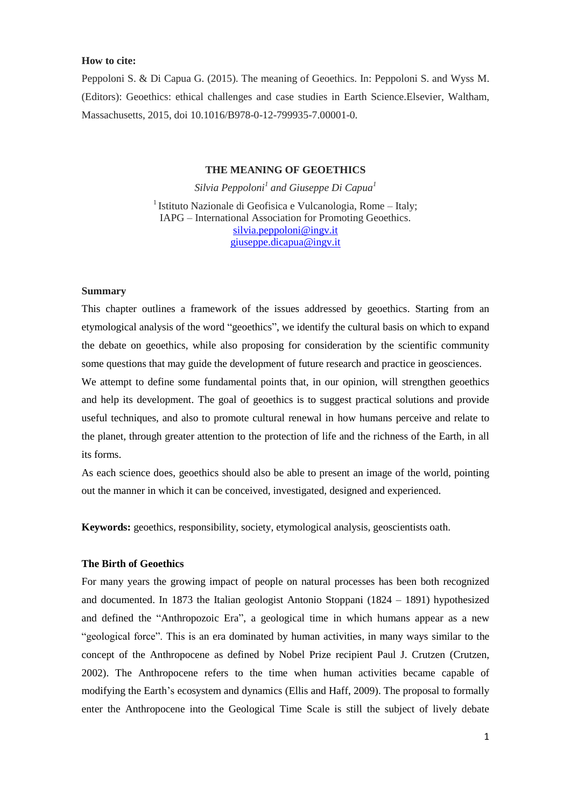## **How to cite:**

Peppoloni S. & Di Capua G. (2015). The meaning of Geoethics. In: Peppoloni S. and Wyss M. (Editors): Geoethics: ethical challenges and case studies in Earth Science.Elsevier, Waltham, Massachusetts, 2015, doi 10.1016/B978-0-12-799935-7.00001-0.

# **THE MEANING OF GEOETHICS**

*Silvia Peppoloni<sup>1</sup> and Giuseppe Di Capua<sup>1</sup>* <sup>1</sup> Istituto Nazionale di Geofisica e Vulcanologia, Rome – Italy; IAPG – International Association for Promoting Geoethics. [silvia.peppoloni@ingv.it](mailto:silvia.peppoloni@ingv.it) [giuseppe.dicapua@ingv.it](mailto:giuseppe.dicapua@ingv.it)

## **Summary**

This chapter outlines a framework of the issues addressed by geoethics. Starting from an etymological analysis of the word "geoethics", we identify the cultural basis on which to expand the debate on geoethics, while also proposing for consideration by the scientific community some questions that may guide the development of future research and practice in geosciences.

We attempt to define some fundamental points that, in our opinion, will strengthen geoethics and help its development. The goal of geoethics is to suggest practical solutions and provide useful techniques, and also to promote cultural renewal in how humans perceive and relate to the planet, through greater attention to the protection of life and the richness of the Earth, in all its forms.

As each science does, geoethics should also be able to present an image of the world, pointing out the manner in which it can be conceived, investigated, designed and experienced.

**Keywords:** geoethics, responsibility, society, etymological analysis, geoscientists oath.

## **The Birth of Geoethics**

For many years the growing impact of people on natural processes has been both recognized and documented. In 1873 the Italian geologist Antonio Stoppani (1824 – 1891) hypothesized and defined the "Anthropozoic Era", a geological time in which humans appear as a new "geological force". This is an era dominated by human activities, in many ways similar to the concept of the Anthropocene as defined by Nobel Prize recipient Paul J. Crutzen (Crutzen, 2002). The Anthropocene refers to the time when human activities became capable of modifying the Earth's ecosystem and dynamics (Ellis and Haff, 2009). The proposal to formally enter the Anthropocene into the Geological Time Scale is still the subject of lively debate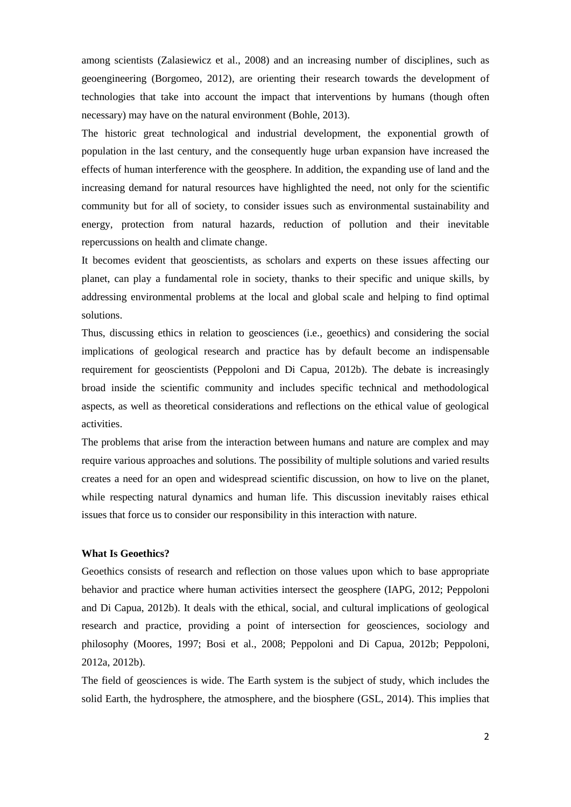among scientists (Zalasiewicz et al., 2008) and an increasing number of disciplines, such as geoengineering (Borgomeo, 2012), are orienting their research towards the development of technologies that take into account the impact that interventions by humans (though often necessary) may have on the natural environment (Bohle, 2013).

The historic great technological and industrial development, the exponential growth of population in the last century, and the consequently huge urban expansion have increased the effects of human interference with the geosphere. In addition, the expanding use of land and the increasing demand for natural resources have highlighted the need, not only for the scientific community but for all of society, to consider issues such as environmental sustainability and energy, protection from natural hazards, reduction of pollution and their inevitable repercussions on health and climate change.

It becomes evident that geoscientists, as scholars and experts on these issues affecting our planet, can play a fundamental role in society, thanks to their specific and unique skills, by addressing environmental problems at the local and global scale and helping to find optimal solutions.

Thus, discussing ethics in relation to geosciences (i.e., geoethics) and considering the social implications of geological research and practice has by default become an indispensable requirement for geoscientists (Peppoloni and Di Capua, 2012b). The debate is increasingly broad inside the scientific community and includes specific technical and methodological aspects, as well as theoretical considerations and reflections on the ethical value of geological activities.

The problems that arise from the interaction between humans and nature are complex and may require various approaches and solutions. The possibility of multiple solutions and varied results creates a need for an open and widespread scientific discussion, on how to live on the planet, while respecting natural dynamics and human life. This discussion inevitably raises ethical issues that force us to consider our responsibility in this interaction with nature.

### **What Is Geoethics?**

Geoethics consists of research and reflection on those values upon which to base appropriate behavior and practice where human activities intersect the geosphere (IAPG, 2012; Peppoloni and Di Capua, 2012b). It deals with the ethical, social, and cultural implications of geological research and practice, providing a point of intersection for geosciences, sociology and philosophy (Moores, 1997; Bosi et al., 2008; Peppoloni and Di Capua, 2012b; Peppoloni, 2012a, 2012b).

The field of geosciences is wide. The Earth system is the subject of study, which includes the solid Earth, the hydrosphere, the atmosphere, and the biosphere (GSL, 2014). This implies that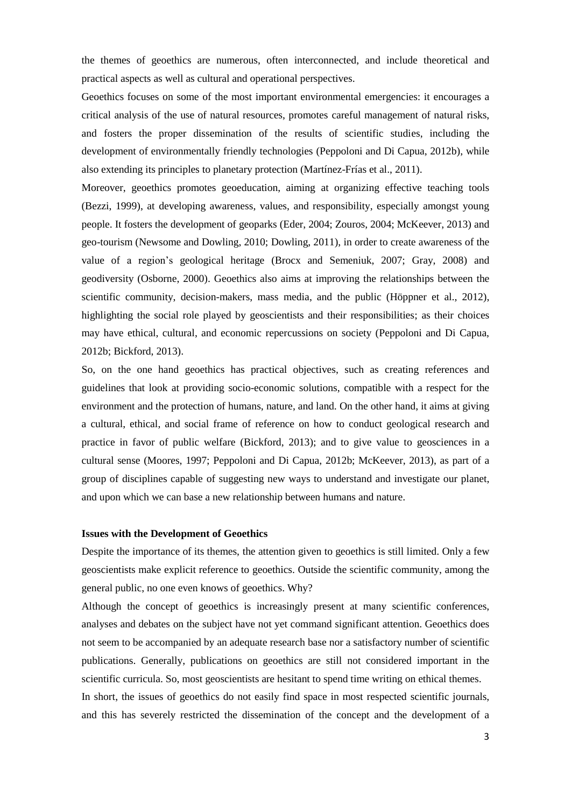the themes of geoethics are numerous, often interconnected, and include theoretical and practical aspects as well as cultural and operational perspectives.

Geoethics focuses on some of the most important environmental emergencies: it encourages a critical analysis of the use of natural resources, promotes careful management of natural risks, and fosters the proper dissemination of the results of scientific studies, including the development of environmentally friendly technologies (Peppoloni and Di Capua, 2012b), while also extending its principles to planetary protection (Martínez-Frías et al., 2011).

Moreover, geoethics promotes geoeducation, aiming at organizing effective teaching tools (Bezzi, 1999), at developing awareness, values, and responsibility, especially amongst young people. It fosters the development of geoparks (Eder, 2004; Zouros, 2004; McKeever, 2013) and geo-tourism (Newsome and Dowling, 2010; Dowling, 2011), in order to create awareness of the value of a region's geological heritage (Brocx and Semeniuk, 2007; Gray, 2008) and geodiversity (Osborne, 2000). Geoethics also aims at improving the relationships between the scientific community, decision-makers, mass media, and the public (Höppner et al., 2012), highlighting the social role played by geoscientists and their responsibilities; as their choices may have ethical, cultural, and economic repercussions on society (Peppoloni and Di Capua, 2012b; Bickford, 2013).

So, on the one hand geoethics has practical objectives, such as creating references and guidelines that look at providing socio-economic solutions, compatible with a respect for the environment and the protection of humans, nature, and land. On the other hand, it aims at giving a cultural, ethical, and social frame of reference on how to conduct geological research and practice in favor of public welfare (Bickford, 2013); and to give value to geosciences in a cultural sense (Moores, 1997; Peppoloni and Di Capua, 2012b; McKeever, 2013), as part of a group of disciplines capable of suggesting new ways to understand and investigate our planet, and upon which we can base a new relationship between humans and nature.

### **Issues with the Development of Geoethics**

Despite the importance of its themes, the attention given to geoethics is still limited. Only a few geoscientists make explicit reference to geoethics. Outside the scientific community, among the general public, no one even knows of geoethics. Why?

Although the concept of geoethics is increasingly present at many scientific conferences, analyses and debates on the subject have not yet command significant attention. Geoethics does not seem to be accompanied by an adequate research base nor a satisfactory number of scientific publications. Generally, publications on geoethics are still not considered important in the scientific curricula. So, most geoscientists are hesitant to spend time writing on ethical themes. In short, the issues of geoethics do not easily find space in most respected scientific journals, and this has severely restricted the dissemination of the concept and the development of a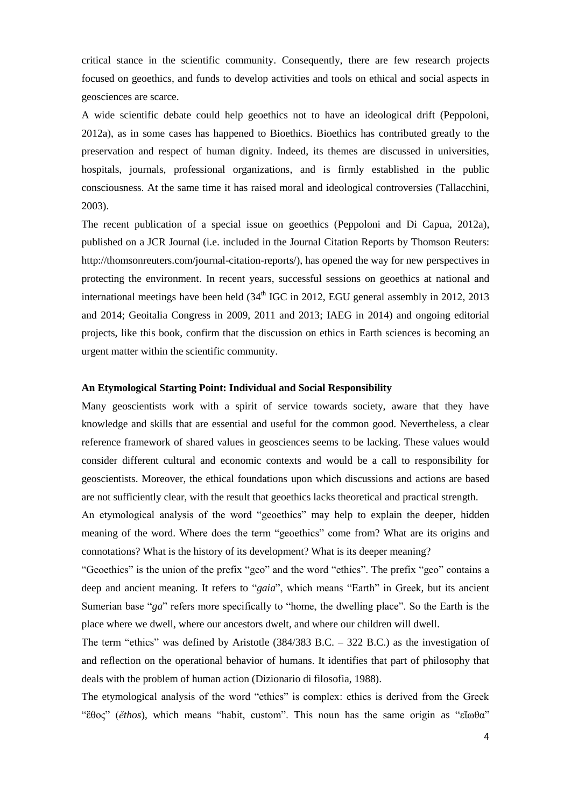critical stance in the scientific community. Consequently, there are few research projects focused on geoethics, and funds to develop activities and tools on ethical and social aspects in geosciences are scarce.

A wide scientific debate could help geoethics not to have an ideological drift (Peppoloni, 2012a), as in some cases has happened to Bioethics. Bioethics has contributed greatly to the preservation and respect of human dignity. Indeed, its themes are discussed in universities, hospitals, journals, professional organizations, and is firmly established in the public consciousness. At the same time it has raised moral and ideological controversies (Tallacchini, 2003).

The recent publication of a special issue on geoethics (Peppoloni and Di Capua, 2012a), published on a JCR Journal (i.e. included in the Journal Citation Reports by Thomson Reuters: http://thomsonreuters.com/journal-citation-reports/), has opened the way for new perspectives in protecting the environment. In recent years, successful sessions on geoethics at national and international meetings have been held  $(34<sup>th</sup> IGC)$  in 2012, EGU general assembly in 2012, 2013 and 2014; Geoitalia Congress in 2009, 2011 and 2013; IAEG in 2014) and ongoing editorial projects, like this book, confirm that the discussion on ethics in Earth sciences is becoming an urgent matter within the scientific community.

# **An Etymological Starting Point: Individual and Social Responsibility**

Many geoscientists work with a spirit of service towards society, aware that they have knowledge and skills that are essential and useful for the common good. Nevertheless, a clear reference framework of shared values in geosciences seems to be lacking. These values would consider different cultural and economic contexts and would be a call to responsibility for geoscientists. Moreover, the ethical foundations upon which discussions and actions are based are not sufficiently clear, with the result that geoethics lacks theoretical and practical strength.

An etymological analysis of the word "geoethics" may help to explain the deeper, hidden meaning of the word. Where does the term "geoethics" come from? What are its origins and connotations? What is the history of its development? What is its deeper meaning?

"Geoethics" is the union of the prefix "geo" and the word "ethics". The prefix "geo" contains a deep and ancient meaning. It refers to "*gaia*", which means "Earth" in Greek, but its ancient Sumerian base "*ga*" refers more specifically to "home, the dwelling place". So the Earth is the place where we dwell, where our ancestors dwelt, and where our children will dwell.

The term "ethics" was defined by Aristotle (384/383 B.C. – 322 B.C.) as the investigation of and reflection on the operational behavior of humans. It identifies that part of philosophy that deals with the problem of human action (Dizionario di filosofia, 1988).

The etymological analysis of the word "ethics" is complex: ethics is derived from the Greek "ἔθος" (*ĕthos*), which means "habit, custom". This noun has the same origin as "εἴωθα"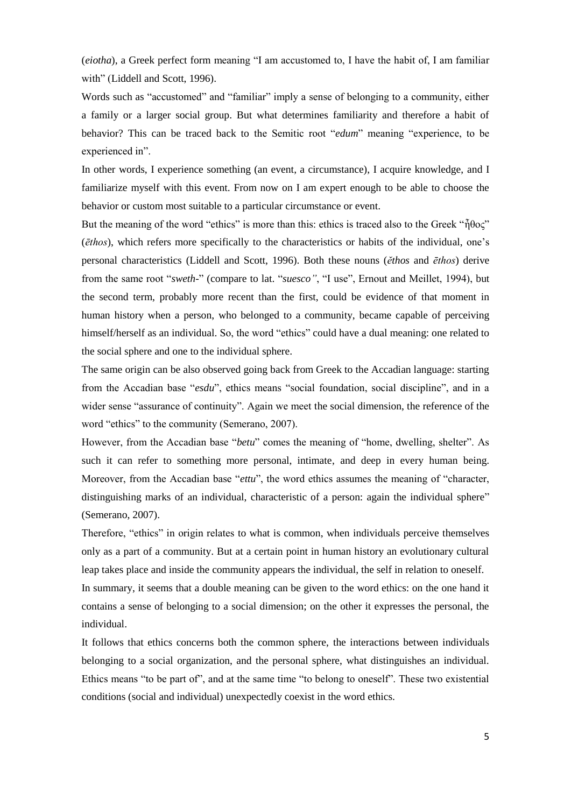(*eiotha*), a Greek perfect form meaning "I am accustomed to, I have the habit of, I am familiar with" (Liddell and Scott, 1996).

Words such as "accustomed" and "familiar" imply a sense of belonging to a community, either a family or a larger social group. But what determines familiarity and therefore a habit of behavior? This can be traced back to the Semitic root "*edum*" meaning "experience, to be experienced in".

In other words, I experience something (an event, a circumstance), I acquire knowledge, and I familiarize myself with this event. From now on I am expert enough to be able to choose the behavior or custom most suitable to a particular circumstance or event.

But the meaning of the word "ethics" is more than this: ethics is traced also to the Greek "ἦθος" (*ēthos*), which refers more specifically to the characteristics or habits of the individual, one's personal characteristics (Liddell and Scott, 1996). Both these nouns (*ĕthos* and *ēthos*) derive from the same root "*sweth*-" (compare to lat. "*suesco"*, "I use", Ernout and Meillet, 1994), but the second term, probably more recent than the first, could be evidence of that moment in human history when a person, who belonged to a community, became capable of perceiving himself/herself as an individual. So, the word "ethics" could have a dual meaning: one related to the social sphere and one to the individual sphere.

The same origin can be also observed going back from Greek to the Accadian language: starting from the Accadian base "*esdu*", ethics means "social foundation, social discipline", and in a wider sense "assurance of continuity". Again we meet the social dimension, the reference of the word "ethics" to the community (Semerano, 2007).

However, from the Accadian base "*betu*" comes the meaning of "home, dwelling, shelter". As such it can refer to something more personal, intimate, and deep in every human being. Moreover, from the Accadian base "*ettu*", the word ethics assumes the meaning of "character, distinguishing marks of an individual, characteristic of a person: again the individual sphere" (Semerano, 2007).

Therefore, "ethics" in origin relates to what is common, when individuals perceive themselves only as a part of a community. But at a certain point in human history an evolutionary cultural leap takes place and inside the community appears the individual, the self in relation to oneself. In summary, it seems that a double meaning can be given to the word ethics: on the one hand it

contains a sense of belonging to a social dimension; on the other it expresses the personal, the individual.

It follows that ethics concerns both the common sphere, the interactions between individuals belonging to a social organization, and the personal sphere, what distinguishes an individual. Ethics means "to be part of", and at the same time "to belong to oneself". These two existential conditions (social and individual) unexpectedly coexist in the word ethics.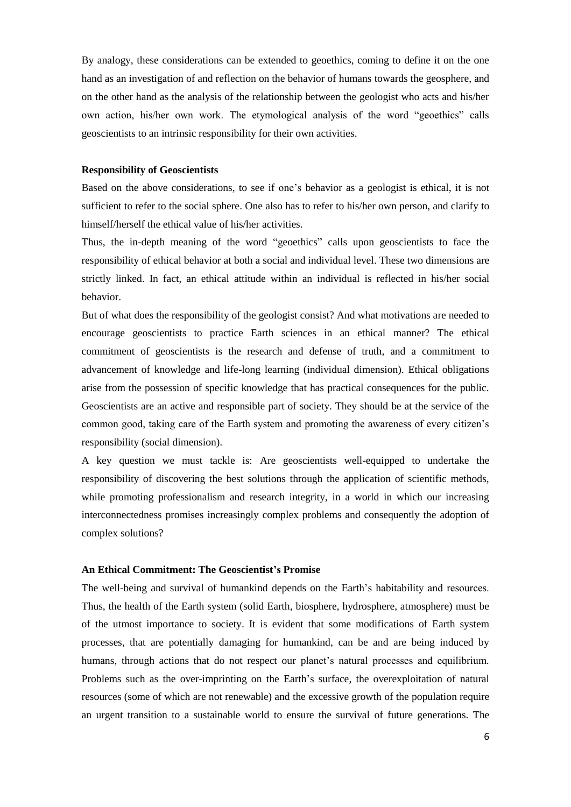By analogy, these considerations can be extended to geoethics, coming to define it on the one hand as an investigation of and reflection on the behavior of humans towards the geosphere, and on the other hand as the analysis of the relationship between the geologist who acts and his/her own action, his/her own work. The etymological analysis of the word "geoethics" calls geoscientists to an intrinsic responsibility for their own activities.

#### **Responsibility of Geoscientists**

Based on the above considerations, to see if one's behavior as a geologist is ethical, it is not sufficient to refer to the social sphere. One also has to refer to his/her own person, and clarify to himself/herself the ethical value of his/her activities.

Thus, the in-depth meaning of the word "geoethics" calls upon geoscientists to face the responsibility of ethical behavior at both a social and individual level. These two dimensions are strictly linked. In fact, an ethical attitude within an individual is reflected in his/her social behavior.

But of what does the responsibility of the geologist consist? And what motivations are needed to encourage geoscientists to practice Earth sciences in an ethical manner? The ethical commitment of geoscientists is the research and defense of truth, and a commitment to advancement of knowledge and life-long learning (individual dimension). Ethical obligations arise from the possession of specific knowledge that has practical consequences for the public. Geoscientists are an active and responsible part of society. They should be at the service of the common good, taking care of the Earth system and promoting the awareness of every citizen's responsibility (social dimension).

A key question we must tackle is: Are geoscientists well-equipped to undertake the responsibility of discovering the best solutions through the application of scientific methods, while promoting professionalism and research integrity, in a world in which our increasing interconnectedness promises increasingly complex problems and consequently the adoption of complex solutions?

### **An Ethical Commitment: The Geoscientist's Promise**

The well-being and survival of humankind depends on the Earth's habitability and resources. Thus, the health of the Earth system (solid Earth, biosphere, hydrosphere, atmosphere) must be of the utmost importance to society. It is evident that some modifications of Earth system processes, that are potentially damaging for humankind, can be and are being induced by humans, through actions that do not respect our planet's natural processes and equilibrium. Problems such as the over-imprinting on the Earth's surface, the overexploitation of natural resources (some of which are not renewable) and the excessive growth of the population require an urgent transition to a sustainable world to ensure the survival of future generations. The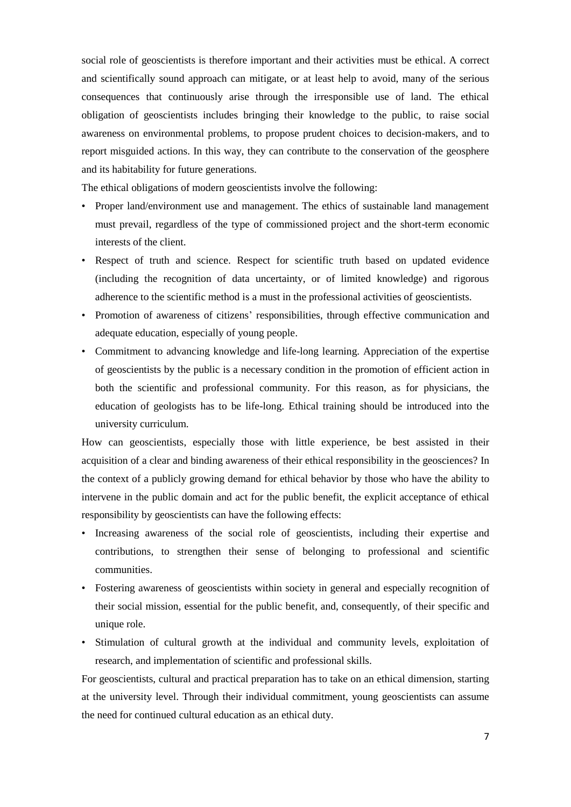social role of geoscientists is therefore important and their activities must be ethical. A correct and scientifically sound approach can mitigate, or at least help to avoid, many of the serious consequences that continuously arise through the irresponsible use of land. The ethical obligation of geoscientists includes bringing their knowledge to the public, to raise social awareness on environmental problems, to propose prudent choices to decision-makers, and to report misguided actions. In this way, they can contribute to the conservation of the geosphere and its habitability for future generations.

The ethical obligations of modern geoscientists involve the following:

- Proper land/environment use and management. The ethics of sustainable land management must prevail, regardless of the type of commissioned project and the short-term economic interests of the client.
- Respect of truth and science. Respect for scientific truth based on updated evidence (including the recognition of data uncertainty, or of limited knowledge) and rigorous adherence to the scientific method is a must in the professional activities of geoscientists.
- Promotion of awareness of citizens' responsibilities, through effective communication and adequate education, especially of young people.
- Commitment to advancing knowledge and life-long learning. Appreciation of the expertise of geoscientists by the public is a necessary condition in the promotion of efficient action in both the scientific and professional community. For this reason, as for physicians, the education of geologists has to be life-long. Ethical training should be introduced into the university curriculum.

How can geoscientists, especially those with little experience, be best assisted in their acquisition of a clear and binding awareness of their ethical responsibility in the geosciences? In the context of a publicly growing demand for ethical behavior by those who have the ability to intervene in the public domain and act for the public benefit, the explicit acceptance of ethical responsibility by geoscientists can have the following effects:

- Increasing awareness of the social role of geoscientists, including their expertise and contributions, to strengthen their sense of belonging to professional and scientific communities.
- Fostering awareness of geoscientists within society in general and especially recognition of their social mission, essential for the public benefit, and, consequently, of their specific and unique role.
- Stimulation of cultural growth at the individual and community levels, exploitation of research, and implementation of scientific and professional skills.

For geoscientists, cultural and practical preparation has to take on an ethical dimension, starting at the university level. Through their individual commitment, young geoscientists can assume the need for continued cultural education as an ethical duty.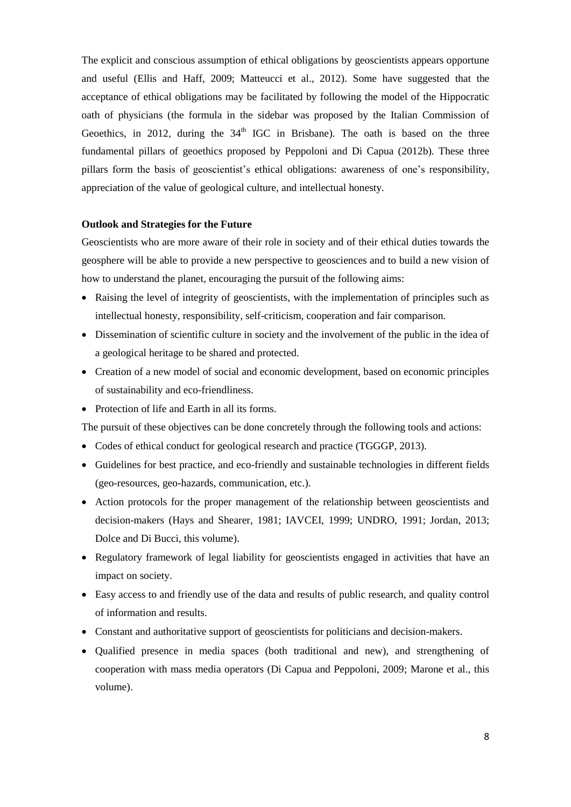The explicit and conscious assumption of ethical obligations by geoscientists appears opportune and useful (Ellis and Haff, 2009; Matteucci et al., 2012). Some have suggested that the acceptance of ethical obligations may be facilitated by following the model of the Hippocratic oath of physicians (the formula in the sidebar was proposed by the Italian Commission of Geoethics, in 2012, during the 34<sup>th</sup> IGC in Brisbane). The oath is based on the three fundamental pillars of geoethics proposed by Peppoloni and Di Capua (2012b). These three pillars form the basis of geoscientist's ethical obligations: awareness of one's responsibility, appreciation of the value of geological culture, and intellectual honesty.

### **Outlook and Strategies for the Future**

Geoscientists who are more aware of their role in society and of their ethical duties towards the geosphere will be able to provide a new perspective to geosciences and to build a new vision of how to understand the planet, encouraging the pursuit of the following aims:

- Raising the level of integrity of geoscientists, with the implementation of principles such as intellectual honesty, responsibility, self-criticism, cooperation and fair comparison.
- Dissemination of scientific culture in society and the involvement of the public in the idea of a geological heritage to be shared and protected.
- Creation of a new model of social and economic development, based on economic principles of sustainability and eco-friendliness.
- Protection of life and Earth in all its forms.

The pursuit of these objectives can be done concretely through the following tools and actions:

- Codes of ethical conduct for geological research and practice (TGGGP, 2013).
- Guidelines for best practice, and eco-friendly and sustainable technologies in different fields (geo-resources, geo-hazards, communication, etc.).
- Action protocols for the proper management of the relationship between geoscientists and decision-makers (Hays and Shearer, 1981; IAVCEI, 1999; UNDRO, 1991; Jordan, 2013; Dolce and Di Bucci, this volume).
- Regulatory framework of legal liability for geoscientists engaged in activities that have an impact on society.
- Easy access to and friendly use of the data and results of public research, and quality control of information and results.
- Constant and authoritative support of geoscientists for politicians and decision-makers.
- Qualified presence in media spaces (both traditional and new), and strengthening of cooperation with mass media operators (Di Capua and Peppoloni, 2009; Marone et al., this volume).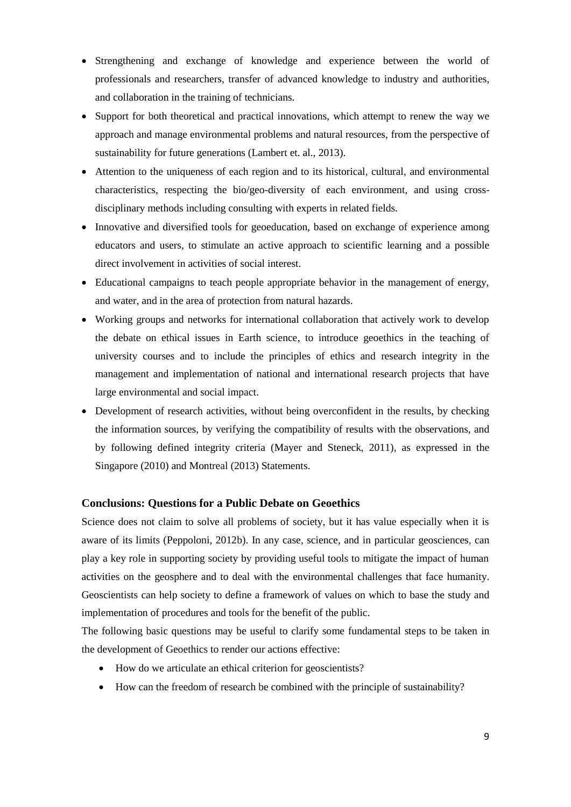- Strengthening and exchange of knowledge and experience between the world of professionals and researchers, transfer of advanced knowledge to industry and authorities, and collaboration in the training of technicians.
- Support for both theoretical and practical innovations, which attempt to renew the way we approach and manage environmental problems and natural resources, from the perspective of sustainability for future generations (Lambert et. al., 2013).
- Attention to the uniqueness of each region and to its historical, cultural, and environmental characteristics, respecting the bio/geo-diversity of each environment, and using crossdisciplinary methods including consulting with experts in related fields.
- Innovative and diversified tools for geoeducation, based on exchange of experience among educators and users, to stimulate an active approach to scientific learning and a possible direct involvement in activities of social interest.
- Educational campaigns to teach people appropriate behavior in the management of energy, and water, and in the area of protection from natural hazards.
- Working groups and networks for international collaboration that actively work to develop the debate on ethical issues in Earth science, to introduce geoethics in the teaching of university courses and to include the principles of ethics and research integrity in the management and implementation of national and international research projects that have large environmental and social impact.
- Development of research activities, without being overconfident in the results, by checking the information sources, by verifying the compatibility of results with the observations, and by following defined integrity criteria (Mayer and Steneck, 2011), as expressed in the Singapore (2010) and Montreal (2013) Statements.

# **Conclusions: Questions for a Public Debate on Geoethics**

Science does not claim to solve all problems of society, but it has value especially when it is aware of its limits (Peppoloni, 2012b). In any case, science, and in particular geosciences, can play a key role in supporting society by providing useful tools to mitigate the impact of human activities on the geosphere and to deal with the environmental challenges that face humanity. Geoscientists can help society to define a framework of values on which to base the study and implementation of procedures and tools for the benefit of the public.

The following basic questions may be useful to clarify some fundamental steps to be taken in the development of Geoethics to render our actions effective:

- How do we articulate an ethical criterion for geoscientists?
- How can the freedom of research be combined with the principle of sustainability?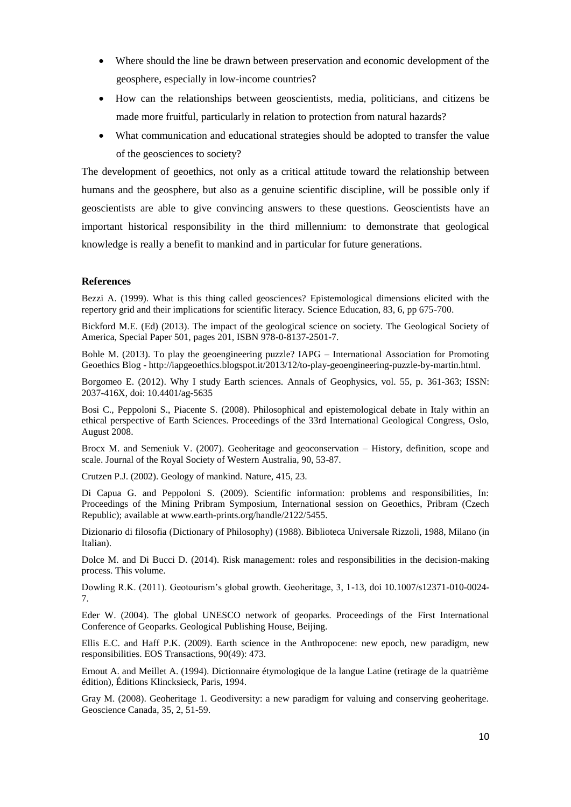- Where should the line be drawn between preservation and economic development of the geosphere, especially in low-income countries?
- How can the relationships between geoscientists, media, politicians, and citizens be made more fruitful, particularly in relation to protection from natural hazards?
- What communication and educational strategies should be adopted to transfer the value of the geosciences to society?

The development of geoethics, not only as a critical attitude toward the relationship between humans and the geosphere, but also as a genuine scientific discipline, will be possible only if geoscientists are able to give convincing answers to these questions. Geoscientists have an important historical responsibility in the third millennium: to demonstrate that geological knowledge is really a benefit to mankind and in particular for future generations.

## **References**

Bezzi A. (1999). What is this thing called geosciences? Epistemological dimensions elicited with the repertory grid and their implications for scientific literacy. Science Education, 83, 6, pp 675-700.

Bickford M.E. (Ed) (2013). The impact of the geological science on society. The Geological Society of America, Special Paper 501, pages 201, ISBN 978-0-8137-2501-7.

Bohle M. (2013). To play the geoengineering puzzle? IAPG – International Association for Promoting Geoethics Blog - http://iapgeoethics.blogspot.it/2013/12/to-play-geoengineering-puzzle-by-martin.html.

Borgomeo E. (2012). Why I study Earth sciences. Annals of Geophysics, vol. 55, p. 361-363; ISSN: 2037-416X, doi: 10.4401/ag-5635

Bosi C., Peppoloni S., Piacente S. (2008). Philosophical and epistemological debate in Italy within an ethical perspective of Earth Sciences. Proceedings of the 33rd International Geological Congress, Oslo, August 2008.

Brocx M. and Semeniuk V. (2007). Geoheritage and geoconservation – History, definition, scope and scale. Journal of the Royal Society of Western Australia, 90, 53-87.

Crutzen P.J. (2002). Geology of mankind. Nature, 415, 23.

Di Capua G. and Peppoloni S. (2009). Scientific information: problems and responsibilities, In: Proceedings of the Mining Pribram Symposium, International session on Geoethics, Pribram (Czech Republic); available at www.earth-prints.org/handle/2122/5455.

Dizionario di filosofia (Dictionary of Philosophy) (1988). Biblioteca Universale Rizzoli, 1988, Milano (in Italian).

Dolce M. and Di Bucci D. (2014). Risk management: roles and responsibilities in the decision-making process. This volume.

Dowling R.K. (2011). Geotourism's global growth. Geoheritage, 3, 1-13, doi 10.1007/s12371-010-0024- 7.

Eder W. (2004). The global UNESCO network of geoparks. Proceedings of the First International Conference of Geoparks. Geological Publishing House, Beijing.

Ellis E.C. and Haff P.K. (2009). Earth science in the Anthropocene: new epoch, new paradigm, new responsibilities. EOS Transactions, 90(49): 473.

Ernout A. and Meillet A. (1994). Dictionnaire étymologique de la langue Latine (retirage de la quatrième édition), Éditions Klincksieck, Paris, 1994.

Gray M. (2008). Geoheritage 1. Geodiversity: a new paradigm for valuing and conserving geoheritage. Geoscience Canada, 35, 2, 51-59.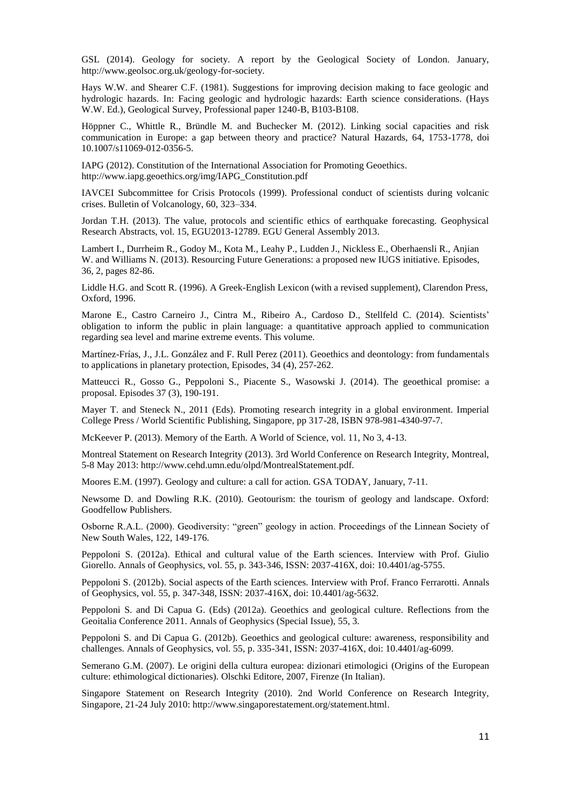GSL (2014). Geology for society. A report by the Geological Society of London. January, http://www.geolsoc.org.uk/geology-for-society.

Hays W.W. and Shearer C.F. (1981). Suggestions for improving decision making to face geologic and hydrologic hazards. In: Facing geologic and hydrologic hazards: Earth science considerations. (Hays W.W. Ed.), Geological Survey, Professional paper 1240-B, B103-B108.

Höppner C., Whittle R., Bründle M. and Buchecker M. (2012). Linking social capacities and risk communication in Europe: a gap between theory and practice? Natural Hazards, 64, 1753-1778, doi 10.1007/s11069-012-0356-5.

IAPG (2012). Constitution of the International Association for Promoting Geoethics. http://www.iapg.geoethics.org/img/IAPG\_Constitution.pdf

IAVCEI Subcommittee for Crisis Protocols (1999). Professional conduct of scientists during volcanic crises. Bulletin of Volcanology, 60, 323–334.

Jordan T.H. (2013). The value, protocols and scientific ethics of earthquake forecasting. Geophysical Research Abstracts, vol. 15, EGU2013-12789. EGU General Assembly 2013.

Lambert I., Durrheim R., Godoy M., Kota M., Leahy P., Ludden J., Nickless E., Oberhaensli R., Anjian W. and Williams N. (2013). Resourcing Future Generations: a proposed new IUGS initiative. Episodes, 36, 2, pages 82-86.

Liddle H.G. and Scott R. (1996). A Greek-English Lexicon (with a revised supplement), Clarendon Press, Oxford, 1996.

Marone E., Castro Carneiro J., Cintra M., Ribeiro A., Cardoso D., Stellfeld C. (2014). Scientists' obligation to inform the public in plain language: a quantitative approach applied to communication regarding sea level and marine extreme events. This volume.

Martínez-Frías, J., J.L. González and F. Rull Perez (2011). Geoethics and deontology: from fundamentals to applications in planetary protection, Episodes, 34 (4), 257-262.

Matteucci R., Gosso G., Peppoloni S., Piacente S., Wasowski J. (2014). The geoethical promise: a proposal. Episodes 37 (3), 190-191.

Mayer T. and Steneck N., 2011 (Eds). Promoting research integrity in a global environment. Imperial College Press / World Scientific Publishing, Singapore, pp 317-28, ISBN 978-981-4340-97-7.

McKeever P. (2013). Memory of the Earth. A World of Science, vol. 11, No 3, 4-13.

[Montreal Statement on Research Integrity](http://www.singaporestatement.org/) (2013). 3rd World Conference on Research Integrity, Montreal, 5-8 May 2013: http://www.cehd.umn.edu/olpd/MontrealStatement.pdf.

Moores E.M. (1997). Geology and culture: a call for action. GSA TODAY, January, 7-11.

Newsome D. and Dowling R.K. (2010). Geotourism: the tourism of geology and landscape. Oxford: Goodfellow Publishers.

Osborne R.A.L. (2000). Geodiversity: "green" geology in action. Proceedings of the Linnean Society of New South Wales, 122, 149-176.

Peppoloni S. (2012a). Ethical and cultural value of the Earth sciences. Interview with Prof. Giulio Giorello. Annals of Geophysics, vol. 55, p. 343-346, ISSN: 2037-416X, doi: 10.4401/ag-5755.

Peppoloni S. (2012b). Social aspects of the Earth sciences. Interview with Prof. Franco Ferrarotti. Annals of Geophysics, vol. 55, p. 347-348, ISSN: 2037-416X, doi: 10.4401/ag-5632.

Peppoloni S. and Di Capua G. (Eds) (2012a). Geoethics and geological culture. Reflections from the Geoitalia Conference 2011. Annals of Geophysics (Special Issue), 55, 3.

Peppoloni S. and Di Capua G. (2012b). Geoethics and geological culture: awareness, responsibility and challenges. Annals of Geophysics, vol. 55, p. 335-341, ISSN: 2037-416X, doi: 10.4401/ag-6099.

Semerano G.M. (2007). Le origini della cultura europea: dizionari etimologici (Origins of the European culture: ethimological dictionaries). Olschki Editore, 2007, Firenze (In Italian).

[Singapore Statement on Research Integrity](http://www.singaporestatement.org/) (2010). 2nd World Conference on Research Integrity, Singapore, 21-24 July 2010: http://www.singaporestatement.org/statement.html.